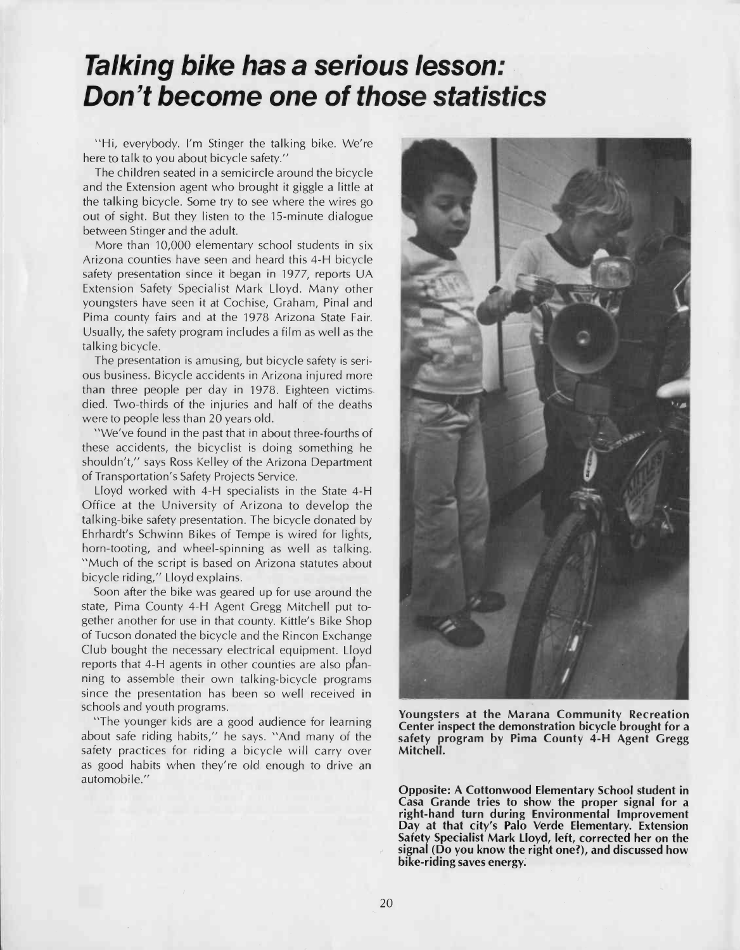## Talking bike has a serious lesson: Don't become one of those statistics

"Hi, everybody. I'm Stinger the talking bike. We're here to talk to you about bicycle safety."

The children seated in a semicircle around the bicycle and the Extension agent who brought it giggle a little at the talking bicycle. Some try to see where the wires go out of sight. But they listen to the 15-minute dialogue between Stinger and the adult.

More than 10,000 elementary school students in six Arizona counties have seen and heard this 4 -H bicycle safety presentation since it began in 1977, reports UA Extension Safety Specialist Mark Lloyd. Many other youngsters have seen it at Cochise, Graham, Pinal and Pima county fairs and at the 1978 Arizona State Fair. Usually, the safety program includes a film as well as the talking bicycle.

The presentation is amusing, but bicycle safety is serious business. Bicycle accidents in Arizona injured more than three people per day in 1978. Eighteen victims died. Two -thirds of the injuries and half of the deaths were to people less than 20 years old.

"We've found in the past that in about three -fourths of these accidents, the bicyclist is doing something he shouldn't," says Ross Kelley of the Arizona Department of Transportation's Safety Projects Service.

Lloyd worked with 4 -H specialists in the State 4 -H Office at the University of Arizona to develop the talking-bike safety presentation. The bicycle donated by Ehrhardt's Schwinn Bikes of Tempe is wired for lights, horn-tooting, and wheel-spinning as well as talking. "Much of the script is based on Arizona statutes about bicycle riding," Lloyd explains.

Soon after the bike was geared up for use around the state, Pima County 4 -H Agent Gregg Mitchell put together another for use in that county. Kittle's Bike Shop of Tucson donated the bicycle and the Rincon Exchange Club bought the necessary electrical equipment. Lloyd reports that 4-H agents in other counties are also planning to assemble their own talking-bicycle programs since the presentation has been so well received in schools and youth programs.

The younger kids are a good audience for learning about safe riding habits," he says. "And many of the safety practices for riding a bicycle will carry over as good habits when they're old enough to drive an automobile."



Youngsters at the Marana Community Recreation Center inspect the demonstration bicycle brought for a safety program by Pima County 4-H Agent Gregg Mitchell.

Opposite: A Cottonwood Elementary School student in Casa Grande tries to show the proper signal for a right -hand turn during Environmental Improvement Day at that city's Palo Verde Elementary. Extension Safety Specialist Mark Lloyd, left, corrected her on the signal (Do you know the right one?), and discussed how bike-riding saves energy.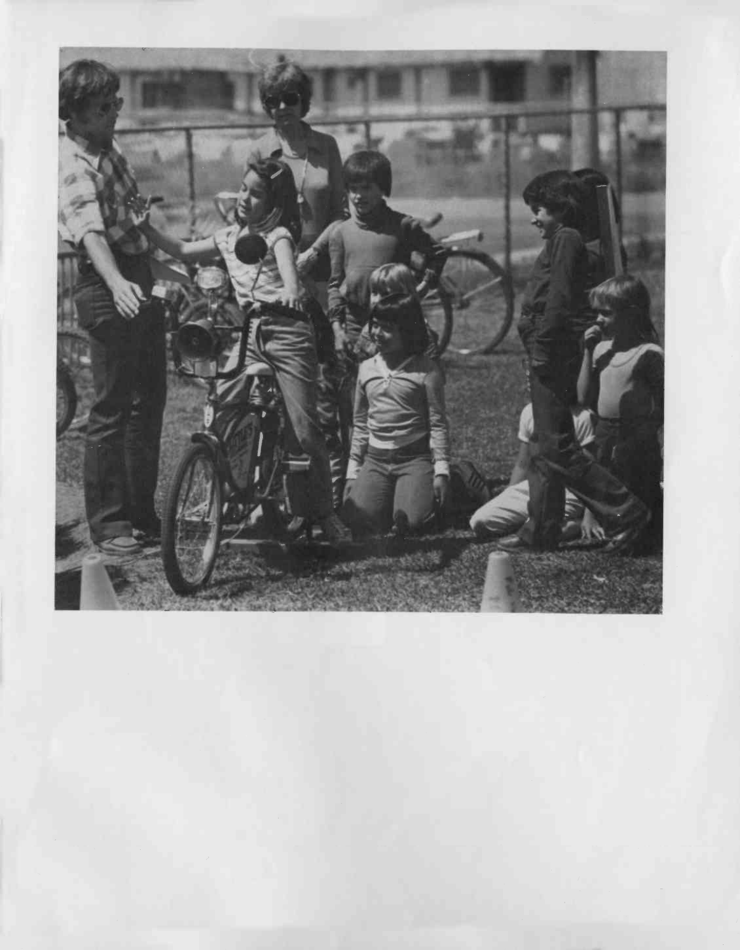